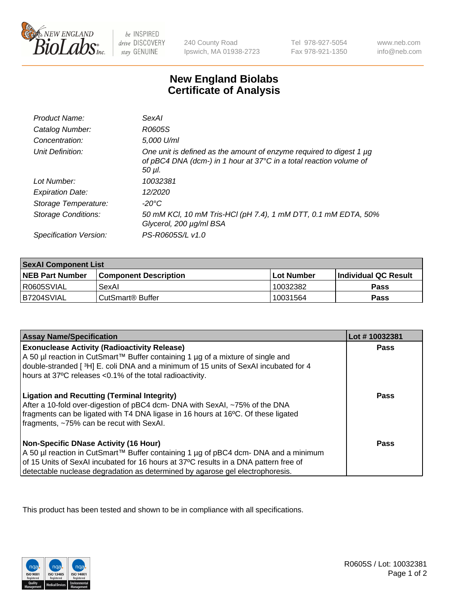

be INSPIRED drive DISCOVERY stay GENUINE

240 County Road Ipswich, MA 01938-2723

Tel 978-927-5054 Fax 978-921-1350

www.neb.com info@neb.com

## **New England Biolabs Certificate of Analysis**

| Product Name:              | <b>SexAl</b>                                                                                                                                            |
|----------------------------|---------------------------------------------------------------------------------------------------------------------------------------------------------|
| Catalog Number:            | R0605S                                                                                                                                                  |
| Concentration:             | 5,000 U/ml                                                                                                                                              |
| Unit Definition:           | One unit is defined as the amount of enzyme required to digest 1 µg<br>of pBC4 DNA (dcm-) in 1 hour at 37°C in a total reaction volume of<br>$50 \mu$ . |
| Lot Number:                | 10032381                                                                                                                                                |
| <b>Expiration Date:</b>    | 12/2020                                                                                                                                                 |
| Storage Temperature:       | -20°C                                                                                                                                                   |
| <b>Storage Conditions:</b> | 50 mM KCl, 10 mM Tris-HCl (pH 7.4), 1 mM DTT, 0.1 mM EDTA, 50%<br>Glycerol, 200 µg/ml BSA                                                               |
| Specification Version:     | PS-R0605S/L v1.0                                                                                                                                        |

| <b>SexAl Component List</b> |                              |            |                             |  |
|-----------------------------|------------------------------|------------|-----------------------------|--|
| <b>NEB Part Number</b>      | <b>Component Description</b> | Lot Number | <b>Individual QC Result</b> |  |
| I R0605SVIAL                | SexAl                        | 10032382   | Pass                        |  |
| IB7204SVIAL                 | l CutSmart® Buffer           | 10031564   | Pass                        |  |

| <b>Assay Name/Specification</b>                                                                                                                                                                                                                                                                                | Lot #10032381 |
|----------------------------------------------------------------------------------------------------------------------------------------------------------------------------------------------------------------------------------------------------------------------------------------------------------------|---------------|
| <b>Exonuclease Activity (Radioactivity Release)</b><br>A 50 µl reaction in CutSmart™ Buffer containing 1 µg of a mixture of single and<br>double-stranded [3H] E. coli DNA and a minimum of 15 units of SexAI incubated for 4<br>hours at 37°C releases <0.1% of the total radioactivity.                      | Pass          |
| <b>Ligation and Recutting (Terminal Integrity)</b><br>After a 10-fold over-digestion of pBC4 dcm- DNA with SexAI, ~75% of the DNA<br>fragments can be ligated with T4 DNA ligase in 16 hours at 16°C. Of these ligated<br>fragments, ~75% can be recut with SexAI.                                             | Pass          |
| <b>Non-Specific DNase Activity (16 Hour)</b><br>  A 50 µl reaction in CutSmart™ Buffer containing 1 µg of pBC4 dcm- DNA and a minimum<br>of 15 Units of SexAI incubated for 16 hours at 37°C results in a DNA pattern free of<br>detectable nuclease degradation as determined by agarose gel electrophoresis. | Pass          |

This product has been tested and shown to be in compliance with all specifications.